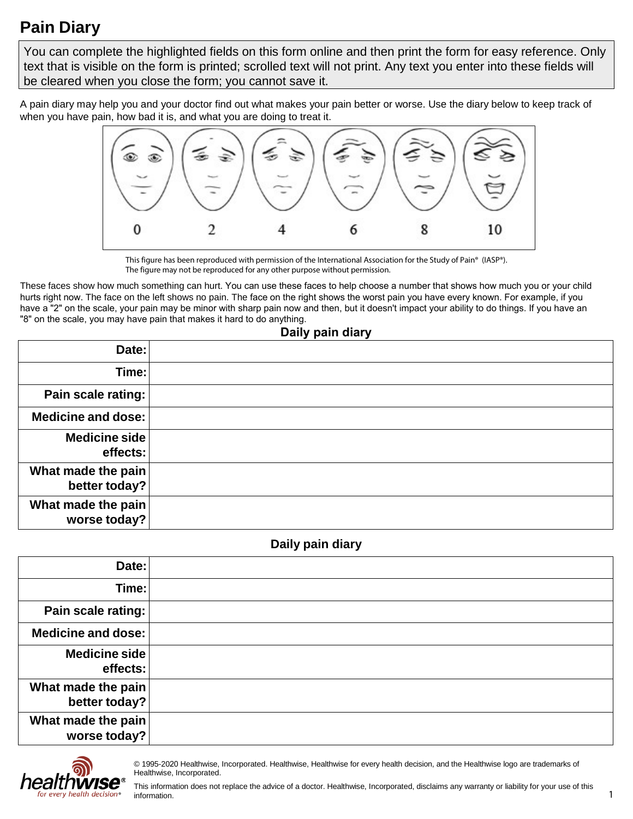# **Pain Diary**

 You can complete the highlighted fields on this form online and then print the form for easy reference. Only text that is visible on the form is printed; scrolled text will not print. Any text you enter into these fields will be cleared when you close the form; you cannot save it.

 A pain diary may help you and your doctor find out what makes your pain better or worse. Use the diary below to keep track of when you have pain, how bad it is, and what you are doing to treat it.



This figure has been reproduced with permission of the International Association for the Study of Pain® (IASP®). The figure may not be reproduced for any other purpose without permission.

 These faces show how much something can hurt. You can use these faces to help choose a number that shows how much you or your child hurts right now. The face on the left shows no pain. The face on the right shows the worst pain you have every known. For example, if you have a "2" on the scale, your pain may be minor with sharp pain now and then, but it doesn't impact your ability to do things. If you have an "8" on the scale, you may have pain that makes it hard to do anything.

# **Daily pain diary**

| Date:                               |  |
|-------------------------------------|--|
| Time:                               |  |
| Pain scale rating:                  |  |
| Medicine and dose:                  |  |
| Medicine side<br>effects:           |  |
| What made the pain<br>better today? |  |
| What made the pain<br>worse today?  |  |

#### **Daily pain diary**

| Date:                               |  |
|-------------------------------------|--|
| Time:                               |  |
| Pain scale rating:                  |  |
| Medicine and dose:                  |  |
| Medicine side<br>effects:           |  |
| What made the pain<br>better today? |  |
| What made the pain<br>worse today?  |  |



 © 1995-2020 Healthwise, Incorporated. Healthwise, Healthwise for every health decision, and the Healthwise logo are trademarks of Healthwise, Incorporated.